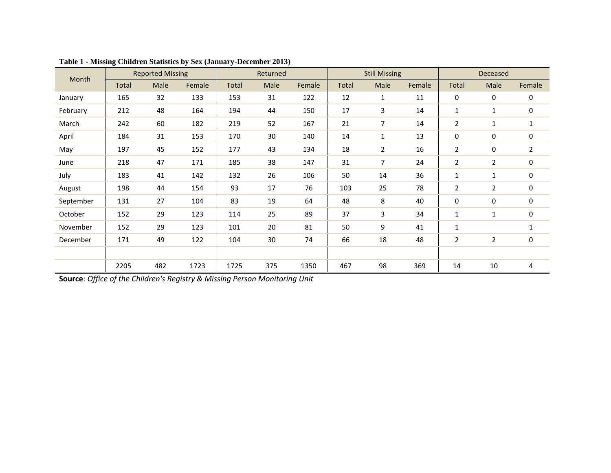| Month     | <b>Reported Missing</b> |      |        | Returned |      |        | <b>Still Missing</b> |                |        | <b>Deceased</b> |                |                |
|-----------|-------------------------|------|--------|----------|------|--------|----------------------|----------------|--------|-----------------|----------------|----------------|
|           | Total                   | Male | Female | Total    | Male | Female | Total                | Male           | Female | Total           | Male           | Female         |
| January   | 165                     | 32   | 133    | 153      | 31   | 122    | 12                   | $\mathbf{1}$   | 11     | $\mathbf 0$     | 0              | 0              |
| February  | 212                     | 48   | 164    | 194      | 44   | 150    | 17                   | 3              | 14     | 1               | 1              | 0              |
| March     | 242                     | 60   | 182    | 219      | 52   | 167    | 21                   | $\overline{7}$ | 14     | $\overline{2}$  | 1              | 1              |
| April     | 184                     | 31   | 153    | 170      | 30   | 140    | 14                   | $\mathbf{1}$   | 13     | $\mathbf 0$     | 0              | $\pmb{0}$      |
| May       | 197                     | 45   | 152    | 177      | 43   | 134    | 18                   | $\overline{2}$ | 16     | $\overline{2}$  | 0              | $\overline{2}$ |
| June      | 218                     | 47   | 171    | 185      | 38   | 147    | 31                   | $\overline{7}$ | 24     | 2               | $\overline{2}$ | 0              |
| July      | 183                     | 41   | 142    | 132      | 26   | 106    | 50                   | 14             | 36     | 1               | 1              | $\pmb{0}$      |
| August    | 198                     | 44   | 154    | 93       | 17   | 76     | 103                  | 25             | 78     | $\overline{2}$  | $\overline{2}$ | $\mathbf 0$    |
| September | 131                     | 27   | 104    | 83       | 19   | 64     | 48                   | 8              | 40     | $\mathbf 0$     | 0              | 0              |
| October   | 152                     | 29   | 123    | 114      | 25   | 89     | 37                   | 3              | 34     | 1               | 1              | $\pmb{0}$      |
| November  | 152                     | 29   | 123    | 101      | 20   | 81     | 50                   | 9              | 41     | $\mathbf{1}$    |                | $\mathbf{1}$   |
| December  | 171                     | 49   | 122    | 104      | 30   | 74     | 66                   | 18             | 48     | $\overline{2}$  | $\overline{2}$ | $\pmb{0}$      |
|           |                         |      |        |          |      |        |                      |                |        |                 |                |                |
|           | 2205                    | 482  | 1723   | 1725     | 375  | 1350   | 467                  | 98             | 369    | 14              | 10             | 4              |

| Table 1 - Missing Children Statistics by Sex (January-December 2013) |  |
|----------------------------------------------------------------------|--|
|----------------------------------------------------------------------|--|

**Source**: *Office of the Children's Registry & Missing Person Monitoring Unit*